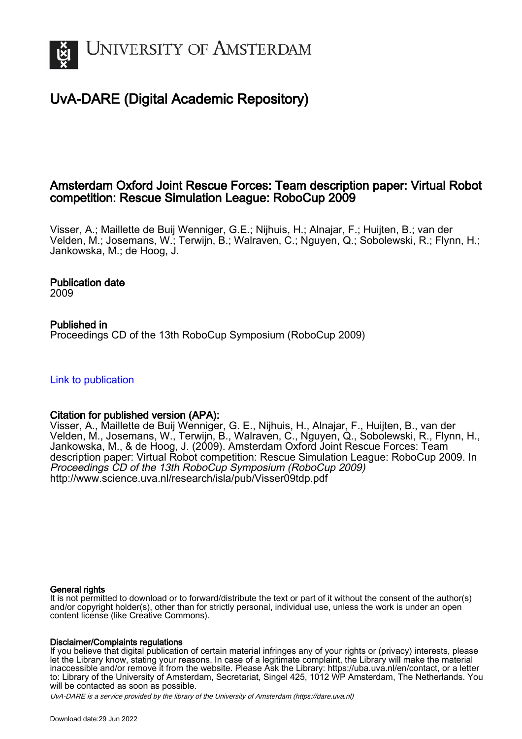

# UvA-DARE (Digital Academic Repository)

## Amsterdam Oxford Joint Rescue Forces: Team description paper: Virtual Robot competition: Rescue Simulation League: RoboCup 2009

Visser, A.; Maillette de Buij Wenniger, G.E.; Nijhuis, H.; Alnajar, F.; Huijten, B.; van der Velden, M.; Josemans, W.; Terwijn, B.; Walraven, C.; Nguyen, Q.; Sobolewski, R.; Flynn, H.; Jankowska, M.; de Hoog, J.

## Publication date

2009

## Published in

Proceedings CD of the 13th RoboCup Symposium (RoboCup 2009)

## [Link to publication](https://dare.uva.nl/personal/pure/en/publications/amsterdam-oxford-joint-rescue-forces-team-description-paper-virtual-robot-competition-rescue-simulation-league-robocup-2009(27c1d822-6d5a-435e-ba4a-44f4c2411c9f).html)

## Citation for published version (APA):

Visser, A., Maillette de Buij Wenniger, G. E., Nijhuis, H., Alnajar, F., Huijten, B., van der Velden, M., Josemans, W., Terwijn, B., Walraven, C., Nguyen, Q., Sobolewski, R., Flynn, H., Jankowska, M., & de Hoog, J. (2009). Amsterdam Oxford Joint Rescue Forces: Team description paper: Virtual Robot competition: Rescue Simulation League: RoboCup 2009. In Proceedings CD of the 13th RoboCup Symposium (RoboCup 2009) <http://www.science.uva.nl/research/isla/pub/Visser09tdp.pdf>

#### General rights

It is not permitted to download or to forward/distribute the text or part of it without the consent of the author(s) and/or copyright holder(s), other than for strictly personal, individual use, unless the work is under an open content license (like Creative Commons).

#### Disclaimer/Complaints regulations

If you believe that digital publication of certain material infringes any of your rights or (privacy) interests, please let the Library know, stating your reasons. In case of a legitimate complaint, the Library will make the material inaccessible and/or remove it from the website. Please Ask the Library: https://uba.uva.nl/en/contact, or a letter to: Library of the University of Amsterdam, Secretariat, Singel 425, 1012 WP Amsterdam, The Netherlands. You will be contacted as soon as possible.

UvA-DARE is a service provided by the library of the University of Amsterdam (http*s*://dare.uva.nl)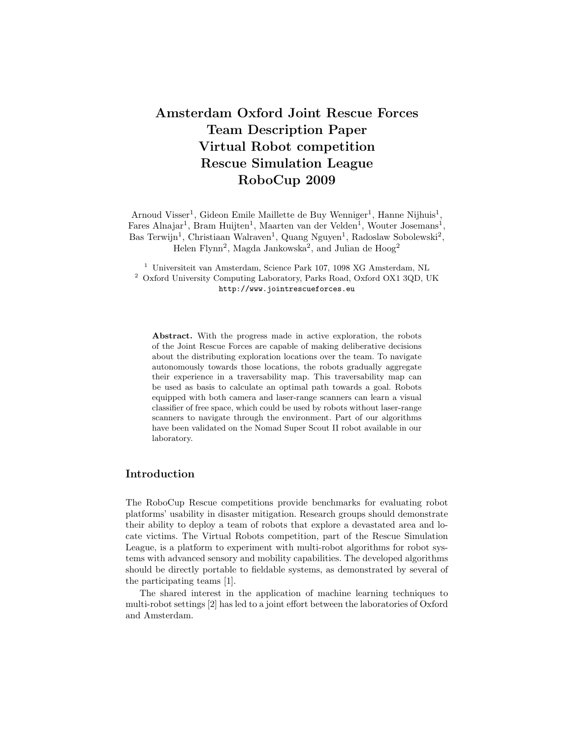## Amsterdam Oxford Joint Rescue Forces Team Description Paper Virtual Robot competition Rescue Simulation League RoboCup 2009

Arnoud Visser<sup>1</sup>, Gideon Emile Maillette de Buy Wenniger<sup>1</sup>, Hanne Nijhuis<sup>1</sup>, Fares Alnajar<sup>1</sup>, Bram Huijten<sup>1</sup>, Maarten van der Velden<sup>1</sup>, Wouter Josemans<sup>1</sup>, Bas Terwijn<sup>1</sup>, Christiaan Walraven<sup>1</sup>, Quang Nguyen<sup>1</sup>, Radoslaw Sobolewski<sup>2</sup>, Helen Flynn<sup>2</sup>, Magda Jankowska<sup>2</sup>, and Julian de Hoog<sup>2</sup>

<sup>1</sup> Universiteit van Amsterdam, Science Park 107, 1098 XG Amsterdam, NL <sup>2</sup> Oxford University Computing Laboratory, Parks Road, Oxford OX1 3QD, UK http://www.jointrescueforces.eu

Abstract. With the progress made in active exploration, the robots of the Joint Rescue Forces are capable of making deliberative decisions about the distributing exploration locations over the team. To navigate autonomously towards those locations, the robots gradually aggregate their experience in a traversability map. This traversability map can be used as basis to calculate an optimal path towards a goal. Robots equipped with both camera and laser-range scanners can learn a visual classifier of free space, which could be used by robots without laser-range scanners to navigate through the environment. Part of our algorithms have been validated on the Nomad Super Scout II robot available in our laboratory.

#### Introduction

The RoboCup Rescue competitions provide benchmarks for evaluating robot platforms' usability in disaster mitigation. Research groups should demonstrate their ability to deploy a team of robots that explore a devastated area and locate victims. The Virtual Robots competition, part of the Rescue Simulation League, is a platform to experiment with multi-robot algorithms for robot systems with advanced sensory and mobility capabilities. The developed algorithms should be directly portable to fieldable systems, as demonstrated by several of the participating teams [1].

The shared interest in the application of machine learning techniques to multi-robot settings [2] has led to a joint effort between the laboratories of Oxford and Amsterdam.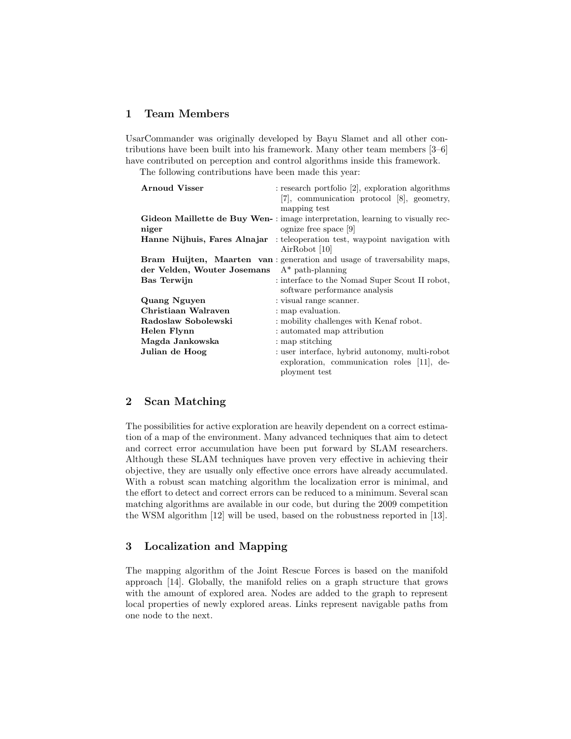#### 1 Team Members

UsarCommander was originally developed by Bayu Slamet and all other contributions have been built into his framework. Many other team members [3–6] have contributed on perception and control algorithms inside this framework.

The following contributions have been made this year:

| <b>Arnoud Visser</b>         | $:$ research portfolio [2], exploration algorithms                            |
|------------------------------|-------------------------------------------------------------------------------|
|                              | [7], communication protocol [8], geometry,                                    |
|                              | mapping test                                                                  |
|                              | Gideon Maillette de Buy Wen-: image interpretation, learning to visually rec- |
| niger                        | ognize free space [9]                                                         |
| Hanne Nijhuis, Fares Alnajar | : teleoperation test, waypoint navigation with                                |
|                              | AirRobot [10]                                                                 |
|                              | Bram Huijten, Maarten van: generation and usage of traversability maps,       |
| der Velden, Wouter Josemans  | $A^*$ path-planning                                                           |
| Bas Terwijn                  | : interface to the Nomad Super Scout II robot,                                |
|                              | software performance analysis                                                 |
| Quang Nguyen                 | : visual range scanner.                                                       |
| Christiaan Walraven          | : map evaluation.                                                             |
| Radoslaw Sobolewski          | : mobility challenges with Kenaf robot.                                       |
| Helen Flynn                  | : automated map attribution                                                   |
| Magda Jankowska              | : map stitching                                                               |
| Julian de Hoog               | : user interface, hybrid autonomy, multi-robot                                |
|                              | exploration, communication roles [11], de-                                    |
|                              | ployment test                                                                 |

#### 2 Scan Matching

The possibilities for active exploration are heavily dependent on a correct estimation of a map of the environment. Many advanced techniques that aim to detect and correct error accumulation have been put forward by SLAM researchers. Although these SLAM techniques have proven very effective in achieving their objective, they are usually only effective once errors have already accumulated. With a robust scan matching algorithm the localization error is minimal, and the effort to detect and correct errors can be reduced to a minimum. Several scan matching algorithms are available in our code, but during the 2009 competition the WSM algorithm [12] will be used, based on the robustness reported in [13].

### 3 Localization and Mapping

The mapping algorithm of the Joint Rescue Forces is based on the manifold approach [14]. Globally, the manifold relies on a graph structure that grows with the amount of explored area. Nodes are added to the graph to represent local properties of newly explored areas. Links represent navigable paths from one node to the next.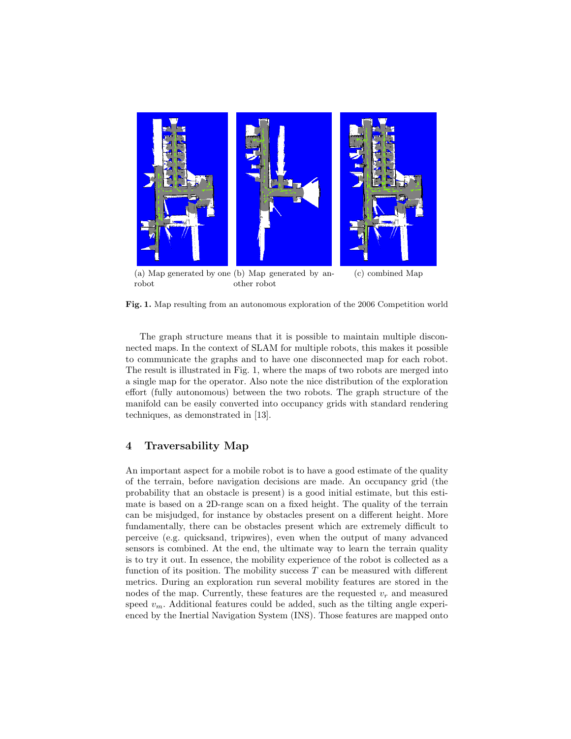

(a) Map generated by one (b) Map generated by anrobot other robot (c) combined Map

Fig. 1. Map resulting from an autonomous exploration of the 2006 Competition world

The graph structure means that it is possible to maintain multiple disconnected maps. In the context of SLAM for multiple robots, this makes it possible to communicate the graphs and to have one disconnected map for each robot. The result is illustrated in Fig. 1, where the maps of two robots are merged into a single map for the operator. Also note the nice distribution of the exploration effort (fully autonomous) between the two robots. The graph structure of the manifold can be easily converted into occupancy grids with standard rendering techniques, as demonstrated in [13].

#### 4 Traversability Map

An important aspect for a mobile robot is to have a good estimate of the quality of the terrain, before navigation decisions are made. An occupancy grid (the probability that an obstacle is present) is a good initial estimate, but this estimate is based on a 2D-range scan on a fixed height. The quality of the terrain can be misjudged, for instance by obstacles present on a different height. More fundamentally, there can be obstacles present which are extremely difficult to perceive (e.g. quicksand, tripwires), even when the output of many advanced sensors is combined. At the end, the ultimate way to learn the terrain quality is to try it out. In essence, the mobility experience of the robot is collected as a function of its position. The mobility success  $T$  can be measured with different metrics. During an exploration run several mobility features are stored in the nodes of the map. Currently, these features are the requested  $v_r$  and measured speed  $v_m$ . Additional features could be added, such as the tilting angle experienced by the Inertial Navigation System (INS). Those features are mapped onto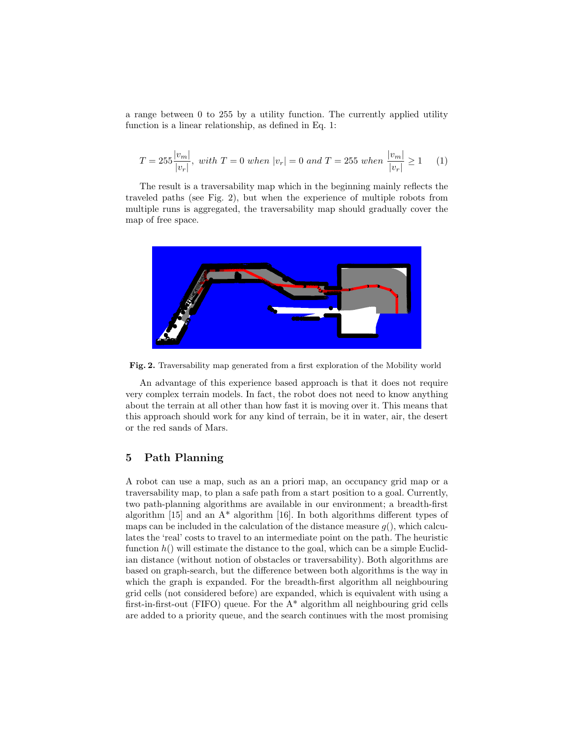a range between 0 to 255 by a utility function. The currently applied utility function is a linear relationship, as defined in Eq. 1:

$$
T = 255 \frac{|v_m|}{|v_r|}, \ with \ T = 0 \ when \ |v_r| = 0 \ and \ T = 255 \ when \ \frac{|v_m|}{|v_r|} \ge 1 \tag{1}
$$

The result is a traversability map which in the beginning mainly reflects the traveled paths (see Fig. 2), but when the experience of multiple robots from multiple runs is aggregated, the traversability map should gradually cover the map of free space.



Fig. 2. Traversability map generated from a first exploration of the Mobility world

An advantage of this experience based approach is that it does not require very complex terrain models. In fact, the robot does not need to know anything about the terrain at all other than how fast it is moving over it. This means that this approach should work for any kind of terrain, be it in water, air, the desert or the red sands of Mars.

#### 5 Path Planning

A robot can use a map, such as an a priori map, an occupancy grid map or a traversability map, to plan a safe path from a start position to a goal. Currently, two path-planning algorithms are available in our environment; a breadth-first algorithm  $[15]$  and an  $A^*$  algorithm  $[16]$ . In both algorithms different types of maps can be included in the calculation of the distance measure  $g($ ), which calculates the 'real' costs to travel to an intermediate point on the path. The heuristic function  $h()$  will estimate the distance to the goal, which can be a simple Euclidian distance (without notion of obstacles or traversability). Both algorithms are based on graph-search, but the difference between both algorithms is the way in which the graph is expanded. For the breadth-first algorithm all neighbouring grid cells (not considered before) are expanded, which is equivalent with using a first-in-first-out (FIFO) queue. For the  $A^*$  algorithm all neighbouring grid cells are added to a priority queue, and the search continues with the most promising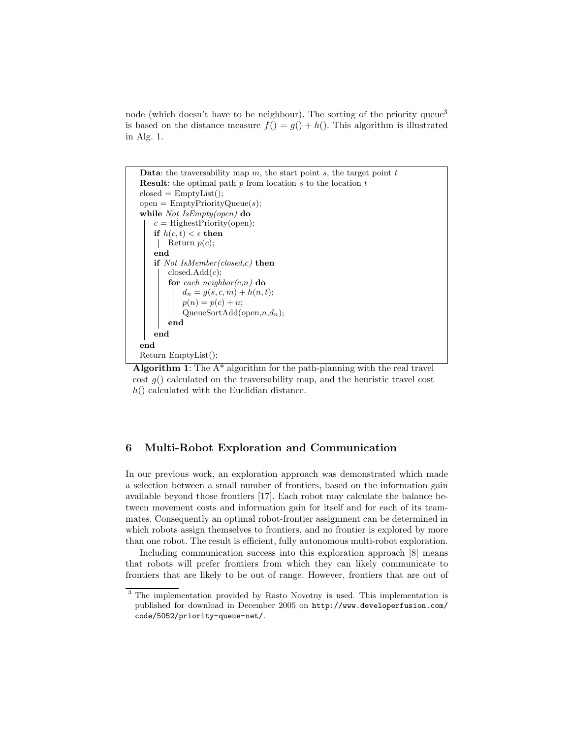node (which doesn't have to be neighbour). The sorting of the priority queue<sup>3</sup> is based on the distance measure  $f() = g() + h()$ . This algorithm is illustrated in Alg. 1.

```
Data: the traversability map m, the start point s, the target point tResult: the optimal path p from location s to the location tclosed = EmptyList;
open = EmptyPriorityQueue(s);while Not IsEmpty(open) do
   c = Highest Priority (open);
   if h(c, t) < \epsilon then
    Return p(c);
   end
   if Not IsMember(closed,c) then
       closedAdd(c);for each neighbor(c,n) do
           d_n = g(s, c, m) + h(n, t);p(n) = p(c) + n;QueueSortAdd(open, n,d_n);end
   end
end
Return EmptyList();
```
Algorithm 1: The  $A^*$  algorithm for the path-planning with the real travel cost  $g()$  calculated on the traversability map, and the heuristic travel cost  $h()$  calculated with the Euclidian distance.

#### 6 Multi-Robot Exploration and Communication

In our previous work, an exploration approach was demonstrated which made a selection between a small number of frontiers, based on the information gain available beyond those frontiers [17]. Each robot may calculate the balance between movement costs and information gain for itself and for each of its teammates. Consequently an optimal robot-frontier assignment can be determined in which robots assign themselves to frontiers, and no frontier is explored by more than one robot. The result is efficient, fully autonomous multi-robot exploration.

Including communication success into this exploration approach  $[8]$  means that robots will prefer frontiers from which they can likely communicate to frontiers that are likely to be out of range. However, frontiers that are out of

<sup>&</sup>lt;sup>3</sup> The implementation provided by Rasto Novotny is used. This implementation is published for download in December 2005 on http://www.developerfusion.com/ code/5052/priority-queue-net/.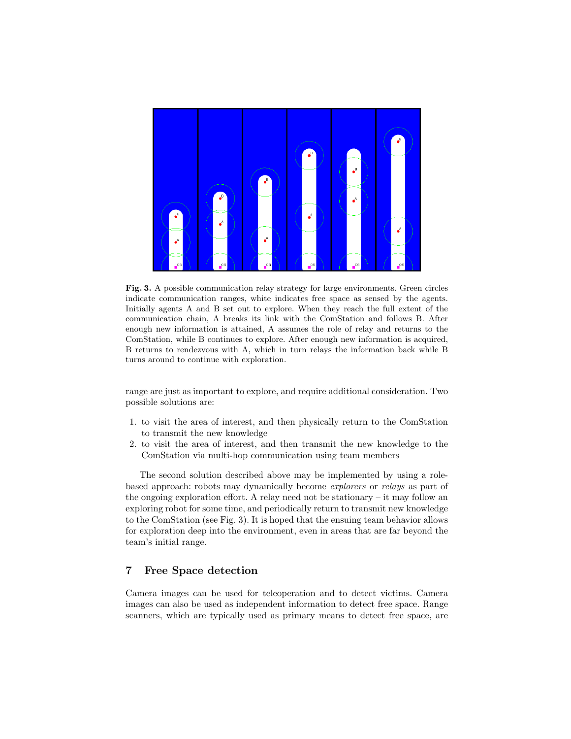

Fig. 3. A possible communication relay strategy for large environments. Green circles indicate communication ranges, white indicates free space as sensed by the agents. Initially agents A and B set out to explore. When they reach the full extent of the communication chain, A breaks its link with the ComStation and follows B. After enough new information is attained, A assumes the role of relay and returns to the ComStation, while B continues to explore. After enough new information is acquired, B returns to rendezvous with A, which in turn relays the information back while B turns around to continue with exploration.

range are just as important to explore, and require additional consideration. Two possible solutions are:

- 1. to visit the area of interest, and then physically return to the ComStation to transmit the new knowledge
- 2. to visit the area of interest, and then transmit the new knowledge to the ComStation via multi-hop communication using team members

The second solution described above may be implemented by using a rolebased approach: robots may dynamically become explorers or relays as part of the ongoing exploration effort. A relay need not be stationary – it may follow an exploring robot for some time, and periodically return to transmit new knowledge to the ComStation (see Fig. 3). It is hoped that the ensuing team behavior allows for exploration deep into the environment, even in areas that are far beyond the team's initial range.

#### 7 Free Space detection

Camera images can be used for teleoperation and to detect victims. Camera images can also be used as independent information to detect free space. Range scanners, which are typically used as primary means to detect free space, are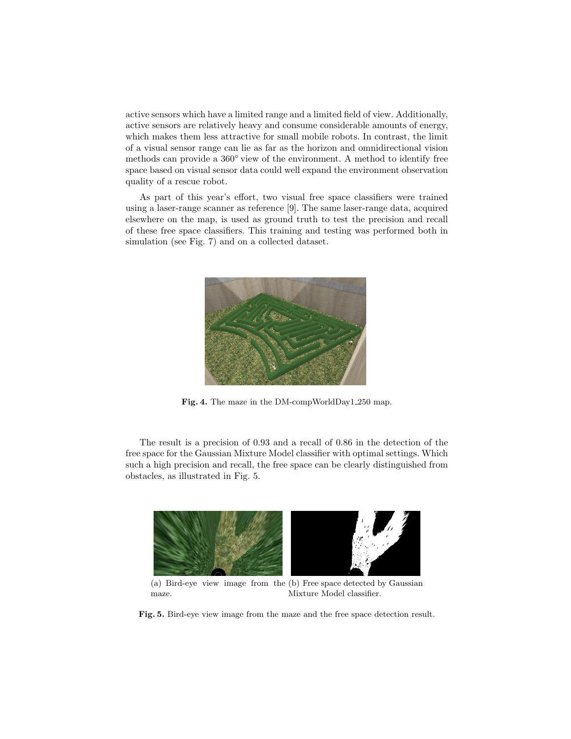active sensors which have a limited range and a limited field of view. Additionally, active sensors are relatively heavy and consume considerable amounts of energy, which makes them less attractive for small mobile robots. In contrast, the limit of a visual sensor range can lie as far as the horizon and omnidirectional vision methods can provide a 360◦ view of the environment. A method to identify free space based on visual sensor data could well expand the environment observation quality of a rescue robot.

As part of this year's effort, two visual free space classifiers were trained using a laser-range scanner as reference [9]. The same laser-range data, acquired elsewhere on the map, is used as ground truth to test the precision and recall of these free space classifiers. This training and testing was performed both in simulation (see Fig. 7) and on a collected dataset.



Fig. 4. The maze in the DM-compWorldDay1 250 map.

The result is a precision of 0.93 and a recall of 0.86 in the detection of the free space for the Gaussian Mixture Model classifier with optimal settings. Which such a high precision and recall, the free space can be clearly distinguished from obstacles, as illustrated in Fig. 5.



(a) Bird-eye view image from the (b) Free space detected by Gaussian maze. Mixture Model classifier.

Fig. 5. Bird-eye view image from the maze and the free space detection result.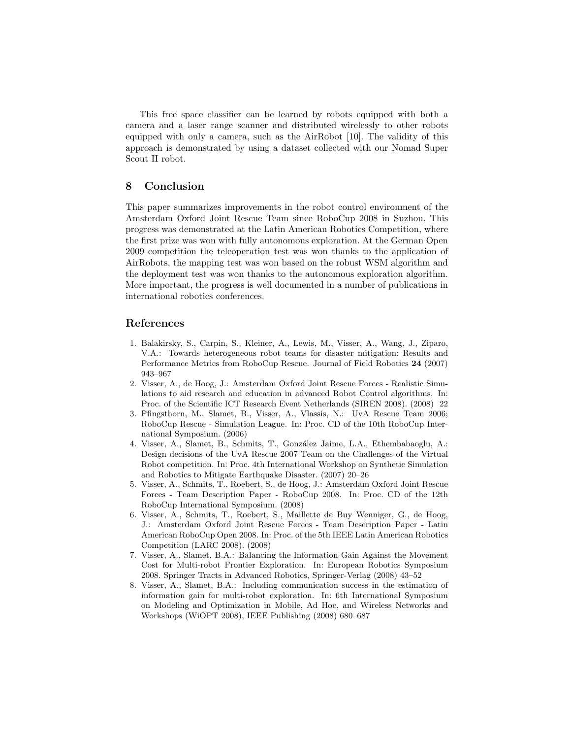This free space classifier can be learned by robots equipped with both a camera and a laser range scanner and distributed wirelessly to other robots equipped with only a camera, such as the AirRobot [10]. The validity of this approach is demonstrated by using a dataset collected with our Nomad Super Scout II robot.

#### 8 Conclusion

This paper summarizes improvements in the robot control environment of the Amsterdam Oxford Joint Rescue Team since RoboCup 2008 in Suzhou. This progress was demonstrated at the Latin American Robotics Competition, where the first prize was won with fully autonomous exploration. At the German Open 2009 competition the teleoperation test was won thanks to the application of AirRobots, the mapping test was won based on the robust WSM algorithm and the deployment test was won thanks to the autonomous exploration algorithm. More important, the progress is well documented in a number of publications in international robotics conferences.

#### References

- 1. Balakirsky, S., Carpin, S., Kleiner, A., Lewis, M., Visser, A., Wang, J., Ziparo, V.A.: Towards heterogeneous robot teams for disaster mitigation: Results and Performance Metrics from RoboCup Rescue. Journal of Field Robotics 24 (2007) 943–967
- 2. Visser, A., de Hoog, J.: Amsterdam Oxford Joint Rescue Forces Realistic Simulations to aid research and education in advanced Robot Control algorithms. In: Proc. of the Scientific ICT Research Event Netherlands (SIREN 2008). (2008) 22
- 3. Pfingsthorn, M., Slamet, B., Visser, A., Vlassis, N.: UvA Rescue Team 2006; RoboCup Rescue - Simulation League. In: Proc. CD of the 10th RoboCup International Symposium. (2006)
- 4. Visser, A., Slamet, B., Schmits, T., Gonz´alez Jaime, L.A., Ethembabaoglu, A.: Design decisions of the UvA Rescue 2007 Team on the Challenges of the Virtual Robot competition. In: Proc. 4th International Workshop on Synthetic Simulation and Robotics to Mitigate Earthquake Disaster. (2007) 20–26
- 5. Visser, A., Schmits, T., Roebert, S., de Hoog, J.: Amsterdam Oxford Joint Rescue Forces - Team Description Paper - RoboCup 2008. In: Proc. CD of the 12th RoboCup International Symposium. (2008)
- 6. Visser, A., Schmits, T., Roebert, S., Maillette de Buy Wenniger, G., de Hoog, J.: Amsterdam Oxford Joint Rescue Forces - Team Description Paper - Latin American RoboCup Open 2008. In: Proc. of the 5th IEEE Latin American Robotics Competition (LARC 2008). (2008)
- 7. Visser, A., Slamet, B.A.: Balancing the Information Gain Against the Movement Cost for Multi-robot Frontier Exploration. In: European Robotics Symposium 2008. Springer Tracts in Advanced Robotics, Springer-Verlag (2008) 43–52
- 8. Visser, A., Slamet, B.A.: Including communication success in the estimation of information gain for multi-robot exploration. In: 6th International Symposium on Modeling and Optimization in Mobile, Ad Hoc, and Wireless Networks and Workshops (WiOPT 2008), IEEE Publishing (2008) 680–687